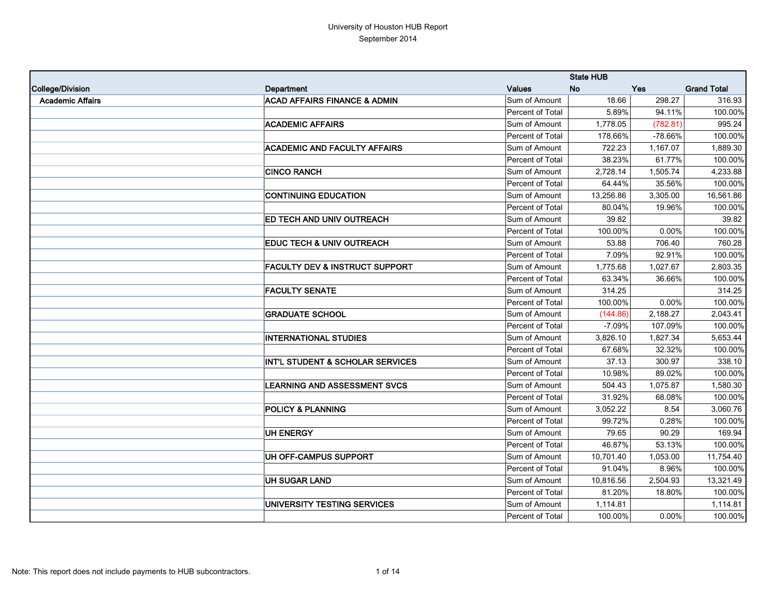|                         |                                           |                  | <b>State HUB</b> |            |                    |
|-------------------------|-------------------------------------------|------------------|------------------|------------|--------------------|
| College/Division        | Department                                | <b>Values</b>    | <b>No</b>        | <b>Yes</b> | <b>Grand Total</b> |
| <b>Academic Affairs</b> | <b>ACAD AFFAIRS FINANCE &amp; ADMIN</b>   | Sum of Amount    | 18.66            | 298.27     | 316.93             |
|                         |                                           | Percent of Total | 5.89%            | 94.11%     | 100.00%            |
|                         | <b>ACADEMIC AFFAIRS</b>                   | Sum of Amount    | 1,778.05         | (782.81)   | 995.24             |
|                         |                                           | Percent of Total | 178.66%          | -78.66%    | 100.00%            |
|                         | <b>ACADEMIC AND FACULTY AFFAIRS</b>       | Sum of Amount    | 722.23           | 1,167.07   | 1,889.30           |
|                         |                                           | Percent of Total | 38.23%           | 61.77%     | 100.00%            |
|                         | <b>CINCO RANCH</b>                        | Sum of Amount    | 2,728.14         | 1,505.74   | 4,233.88           |
|                         |                                           | Percent of Total | 64.44%           | 35.56%     | 100.00%            |
|                         | <b>CONTINUING EDUCATION</b>               | Sum of Amount    | 13,256.86        | 3,305.00   | 16,561.86          |
|                         |                                           | Percent of Total | 80.04%           | 19.96%     | 100.00%            |
|                         | ED TECH AND UNIV OUTREACH                 | Sum of Amount    | 39.82            |            | 39.82              |
|                         |                                           | Percent of Total | 100.00%          | 0.00%      | 100.00%            |
|                         | <b>EDUC TECH &amp; UNIV OUTREACH</b>      | Sum of Amount    | 53.88            | 706.40     | 760.28             |
|                         |                                           | Percent of Total | 7.09%            | 92.91%     | 100.00%            |
|                         | <b>FACULTY DEV &amp; INSTRUCT SUPPORT</b> | Sum of Amount    | 1,775.68         | 1,027.67   | 2,803.35           |
|                         |                                           | Percent of Total | 63.34%           | 36.66%     | 100.00%            |
|                         | <b>FACULTY SENATE</b>                     | Sum of Amount    | 314.25           |            | 314.25             |
|                         |                                           | Percent of Total | 100.00%          | 0.00%      | 100.00%            |
|                         | <b>GRADUATE SCHOOL</b>                    | Sum of Amount    | (144.86)         | 2,188.27   | 2,043.41           |
|                         |                                           | Percent of Total | $-7.09%$         | 107.09%    | 100.00%            |
|                         | <b>INTERNATIONAL STUDIES</b>              | Sum of Amount    | 3,826.10         | 1,827.34   | 5,653.44           |
|                         |                                           | Percent of Total | 67.68%           | 32.32%     | 100.00%            |
|                         | INT'L STUDENT & SCHOLAR SERVICES          | Sum of Amount    | 37.13            | 300.97     | 338.10             |
|                         |                                           | Percent of Total | 10.98%           | 89.02%     | 100.00%            |
|                         | <b>LEARNING AND ASSESSMENT SVCS</b>       | Sum of Amount    | 504.43           | 1,075.87   | 1,580.30           |
|                         |                                           | Percent of Total | 31.92%           | 68.08%     | 100.00%            |
|                         | <b>POLICY &amp; PLANNING</b>              | Sum of Amount    | 3,052.22         | 8.54       | 3,060.76           |
|                         |                                           | Percent of Total | 99.72%           | 0.28%      | 100.00%            |
|                         | UH ENERGY                                 | Sum of Amount    | 79.65            | 90.29      | 169.94             |
|                         |                                           | Percent of Total | 46.87%           | 53.13%     | 100.00%            |
|                         | UH OFF-CAMPUS SUPPORT                     | Sum of Amount    | 10,701.40        | 1,053.00   | 11,754.40          |
|                         |                                           | Percent of Total | 91.04%           | 8.96%      | 100.00%            |
|                         | <b>UH SUGAR LAND</b>                      | Sum of Amount    | 10,816.56        | 2,504.93   | 13,321.49          |
|                         |                                           | Percent of Total | 81.20%           | 18.80%     | 100.00%            |
|                         | UNIVERSITY TESTING SERVICES               | Sum of Amount    | 1,114.81         |            | 1,114.81           |
|                         |                                           | Percent of Total | 100.00%          | 0.00%      | 100.00%            |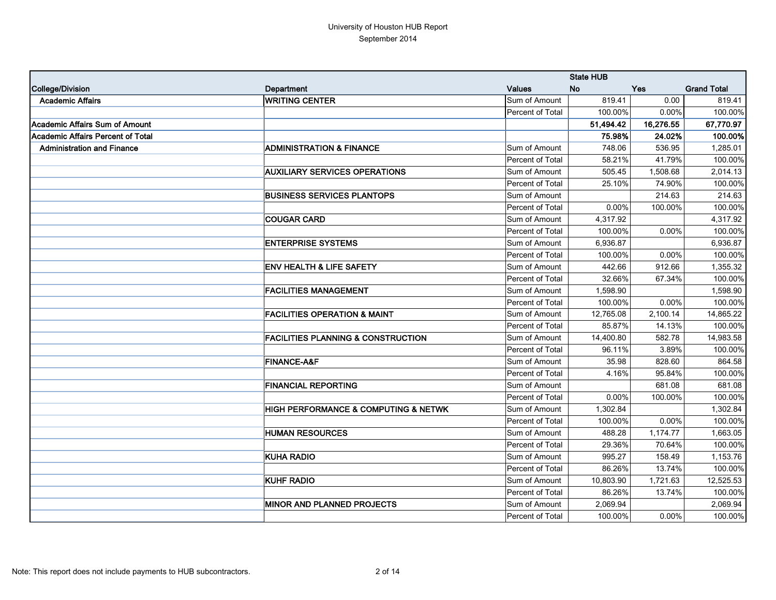|                                          |                                               |                  | <b>State HUB</b> |            |                    |
|------------------------------------------|-----------------------------------------------|------------------|------------------|------------|--------------------|
| College/Division                         | Department                                    | <b>Values</b>    | <b>No</b>        | <b>Yes</b> | <b>Grand Total</b> |
| <b>Academic Affairs</b>                  | <b>WRITING CENTER</b>                         | Sum of Amount    | 819.41           | 0.00       | 819.41             |
|                                          |                                               | Percent of Total | 100.00%          | 0.00%      | 100.00%            |
| Academic Affairs Sum of Amount           |                                               |                  | 51,494.42        | 16,276.55  | 67,770.97          |
| <b>Academic Affairs Percent of Total</b> |                                               |                  | 75.98%           | 24.02%     | 100.00%            |
| <b>Administration and Finance</b>        | <b>ADMINISTRATION &amp; FINANCE</b>           | Sum of Amount    | 748.06           | 536.95     | 1,285.01           |
|                                          |                                               | Percent of Total | 58.21%           | 41.79%     | 100.00%            |
|                                          | <b>AUXILIARY SERVICES OPERATIONS</b>          | Sum of Amount    | 505.45           | 1,508.68   | 2,014.13           |
|                                          |                                               | Percent of Total | 25.10%           | 74.90%     | 100.00%            |
|                                          | <b>BUSINESS SERVICES PLANTOPS</b>             | Sum of Amount    |                  | 214.63     | 214.63             |
|                                          |                                               | Percent of Total | 0.00%            | 100.00%    | 100.00%            |
|                                          | <b>COUGAR CARD</b>                            | Sum of Amount    | 4,317.92         |            | 4,317.92           |
|                                          |                                               | Percent of Total | 100.00%          | 0.00%      | 100.00%            |
|                                          | <b>ENTERPRISE SYSTEMS</b>                     | Sum of Amount    | 6,936.87         |            | 6,936.87           |
|                                          |                                               | Percent of Total | 100.00%          | 0.00%      | 100.00%            |
|                                          | <b>ENV HEALTH &amp; LIFE SAFETY</b>           | Sum of Amount    | 442.66           | 912.66     | 1,355.32           |
|                                          |                                               | Percent of Total | 32.66%           | 67.34%     | 100.00%            |
|                                          | <b>FACILITIES MANAGEMENT</b>                  | Sum of Amount    | 1,598.90         |            | 1,598.90           |
|                                          |                                               | Percent of Total | 100.00%          | 0.00%      | 100.00%            |
|                                          | <b>FACILITIES OPERATION &amp; MAINT</b>       | Sum of Amount    | 12,765.08        | 2,100.14   | 14,865.22          |
|                                          |                                               | Percent of Total | 85.87%           | 14.13%     | 100.00%            |
|                                          | <b>FACILITIES PLANNING &amp; CONSTRUCTION</b> | Sum of Amount    | 14,400.80        | 582.78     | 14,983.58          |
|                                          |                                               | Percent of Total | 96.11%           | 3.89%      | 100.00%            |
|                                          | <b>FINANCE-A&amp;F</b>                        | Sum of Amount    | 35.98            | 828.60     | 864.58             |
|                                          |                                               | Percent of Total | 4.16%            | 95.84%     | 100.00%            |
|                                          | <b>FINANCIAL REPORTING</b>                    | Sum of Amount    |                  | 681.08     | 681.08             |
|                                          |                                               | Percent of Total | 0.00%            | 100.00%    | 100.00%            |
|                                          | HIGH PERFORMANCE & COMPUTING & NETWK          | Sum of Amount    | 1,302.84         |            | 1,302.84           |
|                                          |                                               | Percent of Total | 100.00%          | 0.00%      | 100.00%            |
|                                          | <b>HUMAN RESOURCES</b>                        | Sum of Amount    | 488.28           | 1,174.77   | 1,663.05           |
|                                          |                                               | Percent of Total | 29.36%           | 70.64%     | 100.00%            |
|                                          | <b>KUHA RADIO</b>                             | Sum of Amount    | 995.27           | 158.49     | 1,153.76           |
|                                          |                                               | Percent of Total | 86.26%           | 13.74%     | 100.00%            |
|                                          | <b>KUHF RADIO</b>                             | Sum of Amount    | 10,803.90        | 1,721.63   | 12,525.53          |
|                                          |                                               | Percent of Total | 86.26%           | 13.74%     | 100.00%            |
|                                          | <b>MINOR AND PLANNED PROJECTS</b>             | Sum of Amount    | 2,069.94         |            | 2,069.94           |
|                                          |                                               | Percent of Total | 100.00%          | 0.00%      | 100.00%            |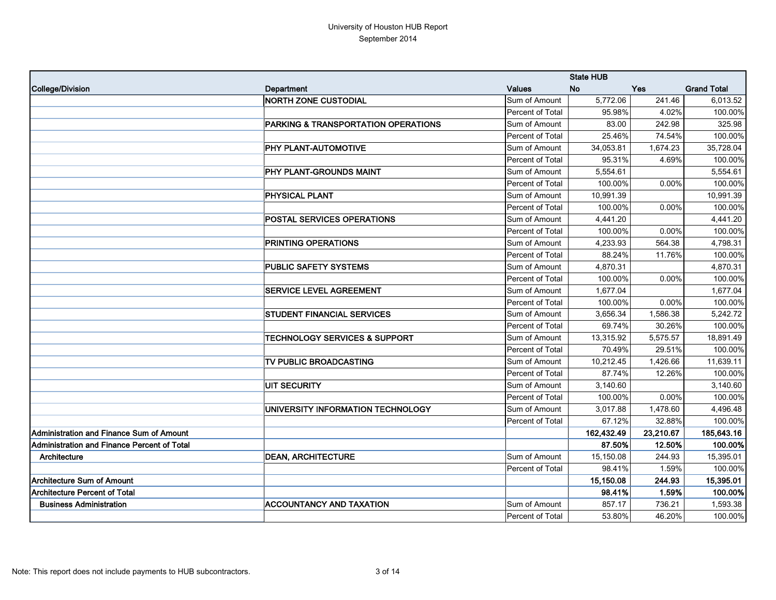|                                             |                                          |                  | <b>State HUB</b> |            |                    |
|---------------------------------------------|------------------------------------------|------------------|------------------|------------|--------------------|
| College/Division                            | Department                               | <b>Values</b>    | <b>No</b>        | <b>Yes</b> | <b>Grand Total</b> |
|                                             | <b>NORTH ZONE CUSTODIAL</b>              | Sum of Amount    | 5,772.06         | 241.46     | 6,013.52           |
|                                             |                                          | Percent of Total | 95.98%           | 4.02%      | 100.00%            |
|                                             | PARKING & TRANSPORTATION OPERATIONS      | Sum of Amount    | 83.00            | 242.98     | 325.98             |
|                                             |                                          | Percent of Total | 25.46%           | 74.54%     | 100.00%            |
|                                             | PHY PLANT-AUTOMOTIVE                     | Sum of Amount    | 34,053.81        | 1,674.23   | 35,728.04          |
|                                             |                                          | Percent of Total | 95.31%           | 4.69%      | 100.00%            |
|                                             | PHY PLANT-GROUNDS MAINT                  | Sum of Amount    | 5,554.61         |            | 5,554.61           |
|                                             |                                          | Percent of Total | 100.00%          | 0.00%      | 100.00%            |
|                                             | <b>PHYSICAL PLANT</b>                    | Sum of Amount    | 10,991.39        |            | 10,991.39          |
|                                             |                                          | Percent of Total | 100.00%          | 0.00%      | 100.00%            |
|                                             | POSTAL SERVICES OPERATIONS               | Sum of Amount    | 4,441.20         |            | 4,441.20           |
|                                             |                                          | Percent of Total | 100.00%          | 0.00%      | 100.00%            |
|                                             | PRINTING OPERATIONS                      | Sum of Amount    | 4,233.93         | 564.38     | 4,798.31           |
|                                             |                                          | Percent of Total | 88.24%           | 11.76%     | 100.00%            |
|                                             | <b>PUBLIC SAFETY SYSTEMS</b>             | Sum of Amount    | 4,870.31         |            | 4,870.31           |
|                                             |                                          | Percent of Total | 100.00%          | 0.00%      | 100.00%            |
|                                             | SERVICE LEVEL AGREEMENT                  | Sum of Amount    | 1,677.04         |            | 1,677.04           |
|                                             |                                          | Percent of Total | 100.00%          | 0.00%      | 100.00%            |
|                                             | STUDENT FINANCIAL SERVICES               | Sum of Amount    | 3,656.34         | 1,586.38   | 5,242.72           |
|                                             |                                          | Percent of Total | 69.74%           | 30.26%     | 100.00%            |
|                                             | <b>TECHNOLOGY SERVICES &amp; SUPPORT</b> | Sum of Amount    | 13,315.92        | 5,575.57   | 18,891.49          |
|                                             |                                          | Percent of Total | 70.49%           | 29.51%     | 100.00%            |
|                                             | TV PUBLIC BROADCASTING                   | Sum of Amount    | 10,212.45        | 1,426.66   | 11,639.11          |
|                                             |                                          | Percent of Total | 87.74%           | 12.26%     | 100.00%            |
|                                             | <b>UIT SECURITY</b>                      | Sum of Amount    | 3,140.60         |            | 3,140.60           |
|                                             |                                          | Percent of Total | 100.00%          | 0.00%      | 100.00%            |
|                                             | UNIVERSITY INFORMATION TECHNOLOGY        | Sum of Amount    | 3,017.88         | 1,478.60   | 4,496.48           |
|                                             |                                          | Percent of Total | 67.12%           | 32.88%     | 100.00%            |
| Administration and Finance Sum of Amount    |                                          |                  | 162,432.49       | 23,210.67  | 185,643.16         |
| Administration and Finance Percent of Total |                                          |                  | 87.50%           | 12.50%     | 100.00%            |
| Architecture                                | <b>DEAN, ARCHITECTURE</b>                | Sum of Amount    | 15,150.08        | 244.93     | 15,395.01          |
|                                             |                                          | Percent of Total | 98.41%           | 1.59%      | 100.00%            |
| Architecture Sum of Amount                  |                                          |                  | 15,150.08        | 244.93     | 15,395.01          |
| Architecture Percent of Total               |                                          |                  | 98.41%           | 1.59%      | 100.00%            |
| <b>Business Administration</b>              | <b>ACCOUNTANCY AND TAXATION</b>          | Sum of Amount    | 857.17           | 736.21     | 1,593.38           |
|                                             |                                          | Percent of Total | 53.80%           | 46.20%     | 100.00%            |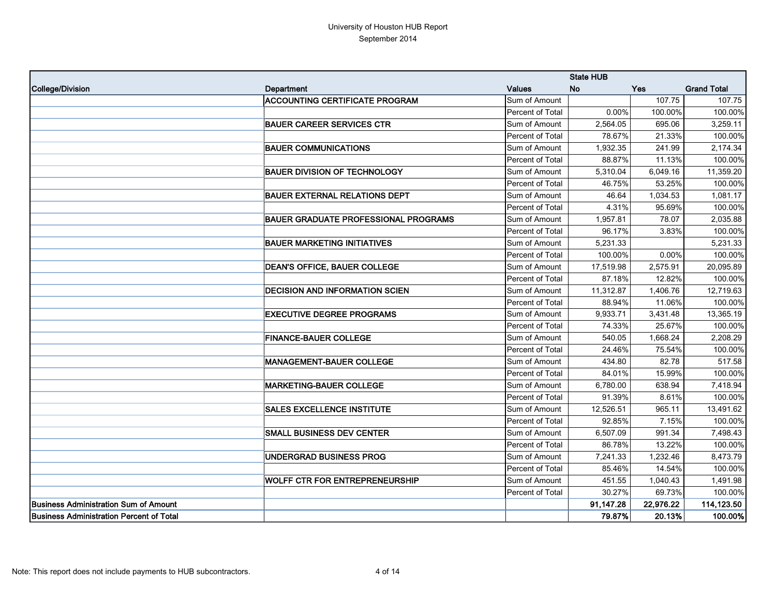|                                          |                                             |                  | <b>State HUB</b> |            |                    |
|------------------------------------------|---------------------------------------------|------------------|------------------|------------|--------------------|
| College/Division                         | Department                                  | <b>Values</b>    | <b>No</b>        | <b>Yes</b> | <b>Grand Total</b> |
|                                          | <b>ACCOUNTING CERTIFICATE PROGRAM</b>       | Sum of Amount    |                  | 107.75     | 107.75             |
|                                          |                                             | Percent of Total | 0.00%            | 100.00%    | 100.00%            |
|                                          | <b>BAUER CAREER SERVICES CTR</b>            | Sum of Amount    | 2,564.05         | 695.06     | 3,259.11           |
|                                          |                                             | Percent of Total | 78.67%           | 21.33%     | 100.00%            |
|                                          | <b>BAUER COMMUNICATIONS</b>                 | Sum of Amount    | 1,932.35         | 241.99     | 2,174.34           |
|                                          |                                             | Percent of Total | 88.87%           | 11.13%     | 100.00%            |
|                                          | <b>BAUER DIVISION OF TECHNOLOGY</b>         | Sum of Amount    | 5,310.04         | 6,049.16   | 11,359.20          |
|                                          |                                             | Percent of Total | 46.75%           | 53.25%     | 100.00%            |
|                                          | <b>BAUER EXTERNAL RELATIONS DEPT</b>        | Sum of Amount    | 46.64            | 1,034.53   | 1,081.17           |
|                                          |                                             | Percent of Total | 4.31%            | 95.69%     | 100.00%            |
|                                          | <b>BAUER GRADUATE PROFESSIONAL PROGRAMS</b> | Sum of Amount    | 1,957.81         | 78.07      | 2,035.88           |
|                                          |                                             | Percent of Total | 96.17%           | 3.83%      | 100.00%            |
|                                          | <b>BAUER MARKETING INITIATIVES</b>          | Sum of Amount    | 5,231.33         |            | 5,231.33           |
|                                          |                                             | Percent of Total | 100.00%          | 0.00%      | 100.00%            |
|                                          | <b>DEAN'S OFFICE, BAUER COLLEGE</b>         | Sum of Amount    | 17,519.98        | 2,575.91   | 20,095.89          |
|                                          |                                             | Percent of Total | 87.18%           | 12.82%     | 100.00%            |
|                                          | <b>DECISION AND INFORMATION SCIEN</b>       | Sum of Amount    | 11,312.87        | 1,406.76   | 12,719.63          |
|                                          |                                             | Percent of Total | 88.94%           | 11.06%     | 100.00%            |
|                                          | <b>EXECUTIVE DEGREE PROGRAMS</b>            | Sum of Amount    | 9,933.71         | 3,431.48   | 13,365.19          |
|                                          |                                             | Percent of Total | 74.33%           | 25.67%     | 100.00%            |
|                                          | <b>FINANCE-BAUER COLLEGE</b>                | Sum of Amount    | 540.05           | 1,668.24   | 2,208.29           |
|                                          |                                             | Percent of Total | 24.46%           | 75.54%     | 100.00%            |
|                                          | <b>MANAGEMENT-BAUER COLLEGE</b>             | Sum of Amount    | 434.80           | 82.78      | 517.58             |
|                                          |                                             | Percent of Total | 84.01%           | 15.99%     | 100.00%            |
|                                          | <b>MARKETING-BAUER COLLEGE</b>              | Sum of Amount    | 6,780.00         | 638.94     | 7,418.94           |
|                                          |                                             | Percent of Total | 91.39%           | 8.61%      | 100.00%            |
|                                          | <b>SALES EXCELLENCE INSTITUTE</b>           | Sum of Amount    | 12,526.51        | 965.11     | 13,491.62          |
|                                          |                                             | Percent of Total | 92.85%           | 7.15%      | 100.00%            |
|                                          | <b>SMALL BUSINESS DEV CENTER</b>            | Sum of Amount    | 6,507.09         | 991.34     | 7,498.43           |
|                                          |                                             | Percent of Total | 86.78%           | 13.22%     | 100.00%            |
|                                          | UNDERGRAD BUSINESS PROG                     | Sum of Amount    | 7,241.33         | 1,232.46   | 8,473.79           |
|                                          |                                             | Percent of Total | 85.46%           | 14.54%     | 100.00%            |
|                                          | <b>WOLFF CTR FOR ENTREPRENEURSHIP</b>       | Sum of Amount    | 451.55           | 1,040.43   | 1,491.98           |
|                                          |                                             | Percent of Total | 30.27%           | 69.73%     | 100.00%            |
| Business Administration Sum of Amount    |                                             |                  | 91,147.28        | 22,976.22  | 114,123.50         |
| Business Administration Percent of Total |                                             |                  | 79.87%           | 20.13%     | 100.00%            |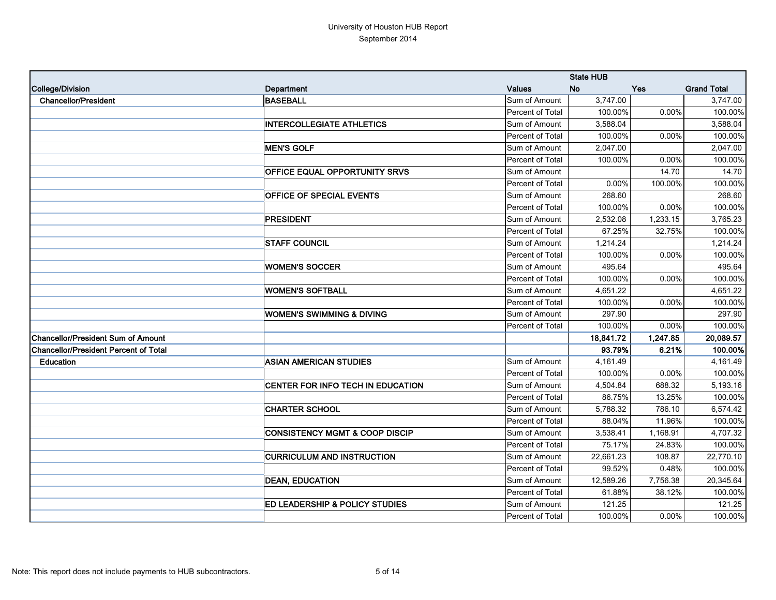|                                              |                                           |                  | <b>State HUB</b> |            |                    |
|----------------------------------------------|-------------------------------------------|------------------|------------------|------------|--------------------|
| College/Division                             | Department                                | <b>Values</b>    | <b>No</b>        | <b>Yes</b> | <b>Grand Total</b> |
| <b>Chancellor/President</b>                  | <b>BASEBALL</b>                           | Sum of Amount    | 3,747.00         |            | 3,747.00           |
|                                              |                                           | Percent of Total | 100.00%          | 0.00%      | 100.00%            |
|                                              | <b>INTERCOLLEGIATE ATHLETICS</b>          | Sum of Amount    | 3,588.04         |            | 3,588.04           |
|                                              |                                           | Percent of Total | 100.00%          | 0.00%      | 100.00%            |
|                                              | <b>MEN'S GOLF</b>                         | Sum of Amount    | 2,047.00         |            | 2,047.00           |
|                                              |                                           | Percent of Total | 100.00%          | 0.00%      | 100.00%            |
|                                              | OFFICE EQUAL OPPORTUNITY SRVS             | Sum of Amount    |                  | 14.70      | 14.70              |
|                                              |                                           | Percent of Total | 0.00%            | 100.00%    | 100.00%            |
|                                              | <b>OFFICE OF SPECIAL EVENTS</b>           | Sum of Amount    | 268.60           |            | 268.60             |
|                                              |                                           | Percent of Total | 100.00%          | 0.00%      | 100.00%            |
|                                              | PRESIDENT                                 | Sum of Amount    | 2,532.08         | 1,233.15   | 3,765.23           |
|                                              |                                           | Percent of Total | 67.25%           | 32.75%     | 100.00%            |
|                                              | <b>STAFF COUNCIL</b>                      | Sum of Amount    | 1,214.24         |            | 1,214.24           |
|                                              |                                           | Percent of Total | 100.00%          | 0.00%      | 100.00%            |
|                                              | <b>WOMEN'S SOCCER</b>                     | Sum of Amount    | 495.64           |            | 495.64             |
|                                              |                                           | Percent of Total | 100.00%          | 0.00%      | 100.00%            |
|                                              | <b>WOMEN'S SOFTBALL</b>                   | Sum of Amount    | 4,651.22         |            | 4,651.22           |
|                                              |                                           | Percent of Total | 100.00%          | 0.00%      | 100.00%            |
|                                              | <b>WOMEN'S SWIMMING &amp; DIVING</b>      | Sum of Amount    | 297.90           |            | 297.90             |
|                                              |                                           | Percent of Total | 100.00%          | 0.00%      | 100.00%            |
| <b>Chancellor/President Sum of Amount</b>    |                                           |                  | 18,841.72        | 1,247.85   | 20,089.57          |
| <b>Chancellor/President Percent of Total</b> |                                           |                  | 93.79%           | 6.21%      | 100.00%            |
| Education                                    | <b>ASIAN AMERICAN STUDIES</b>             | Sum of Amount    | 4,161.49         |            | 4,161.49           |
|                                              |                                           | Percent of Total | 100.00%          | 0.00%      | 100.00%            |
|                                              | CENTER FOR INFO TECH IN EDUCATION         | Sum of Amount    | 4,504.84         | 688.32     | 5,193.16           |
|                                              |                                           | Percent of Total | 86.75%           | 13.25%     | 100.00%            |
|                                              | <b>CHARTER SCHOOL</b>                     | Sum of Amount    | 5,788.32         | 786.10     | 6,574.42           |
|                                              |                                           | Percent of Total | 88.04%           | 11.96%     | 100.00%            |
|                                              | <b>CONSISTENCY MGMT &amp; COOP DISCIP</b> | Sum of Amount    | 3,538.41         | 1,168.91   | 4,707.32           |
|                                              |                                           | Percent of Total | 75.17%           | 24.83%     | 100.00%            |
|                                              | <b>CURRICULUM AND INSTRUCTION</b>         | Sum of Amount    | 22,661.23        | 108.87     | 22,770.10          |
|                                              |                                           | Percent of Total | 99.52%           | 0.48%      | 100.00%            |
|                                              | <b>DEAN, EDUCATION</b>                    | Sum of Amount    | 12,589.26        | 7,756.38   | 20,345.64          |
|                                              |                                           | Percent of Total | 61.88%           | 38.12%     | 100.00%            |
|                                              | ED LEADERSHIP & POLICY STUDIES            | Sum of Amount    | 121.25           |            | 121.25             |
|                                              |                                           | Percent of Total | 100.00%          | $0.00\%$   | 100.00%            |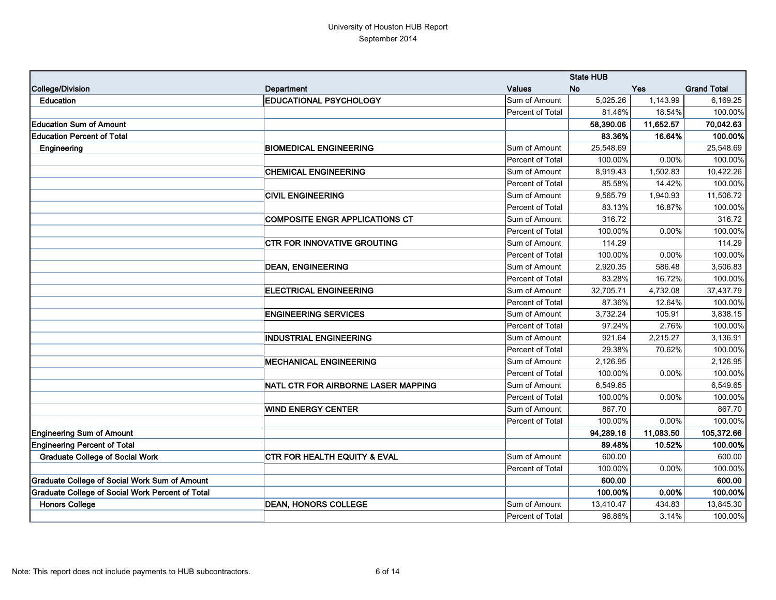|                                                         |                                            |                  | <b>State HUB</b> |            |                    |
|---------------------------------------------------------|--------------------------------------------|------------------|------------------|------------|--------------------|
| College/Division                                        | Department                                 | <b>Values</b>    | <b>No</b>        | <b>Yes</b> | <b>Grand Total</b> |
| Education                                               | <b>EDUCATIONAL PSYCHOLOGY</b>              | Sum of Amount    | 5,025.26         | 1,143.99   | 6,169.25           |
|                                                         |                                            | Percent of Total | 81.46%           | 18.54%     | 100.00%            |
| <b>Education Sum of Amount</b>                          |                                            |                  | 58,390.06        | 11,652.57  | 70,042.63          |
| <b>Education Percent of Total</b>                       |                                            |                  | 83.36%           | 16.64%     | 100.00%            |
| Engineering                                             | <b>BIOMEDICAL ENGINEERING</b>              | Sum of Amount    | 25,548.69        |            | 25,548.69          |
|                                                         |                                            | Percent of Total | 100.00%          | 0.00%      | 100.00%            |
|                                                         | <b>CHEMICAL ENGINEERING</b>                | Sum of Amount    | 8,919.43         | 1,502.83   | 10,422.26          |
|                                                         |                                            | Percent of Total | 85.58%           | 14.42%     | 100.00%            |
|                                                         | <b>CIVIL ENGINEERING</b>                   | Sum of Amount    | 9,565.79         | 1,940.93   | 11,506.72          |
|                                                         |                                            | Percent of Total | 83.13%           | 16.87%     | 100.00%            |
|                                                         | <b>COMPOSITE ENGR APPLICATIONS CT</b>      | Sum of Amount    | 316.72           |            | 316.72             |
|                                                         |                                            | Percent of Total | 100.00%          | 0.00%      | 100.00%            |
|                                                         | <b>CTR FOR INNOVATIVE GROUTING</b>         | Sum of Amount    | 114.29           |            | 114.29             |
|                                                         |                                            | Percent of Total | 100.00%          | 0.00%      | 100.00%            |
|                                                         | <b>DEAN, ENGINEERING</b>                   | Sum of Amount    | 2,920.35         | 586.48     | 3,506.83           |
|                                                         |                                            | Percent of Total | 83.28%           | 16.72%     | 100.00%            |
|                                                         | <b>ELECTRICAL ENGINEERING</b>              | Sum of Amount    | 32,705.71        | 4,732.08   | 37,437.79          |
|                                                         |                                            | Percent of Total | 87.36%           | 12.64%     | 100.00%            |
|                                                         | <b>ENGINEERING SERVICES</b>                | Sum of Amount    | 3,732.24         | 105.91     | 3,838.15           |
|                                                         |                                            | Percent of Total | 97.24%           | 2.76%      | 100.00%            |
|                                                         | <b>INDUSTRIAL ENGINEERING</b>              | Sum of Amount    | 921.64           | 2,215.27   | 3,136.91           |
|                                                         |                                            | Percent of Total | 29.38%           | 70.62%     | 100.00%            |
|                                                         | <b>MECHANICAL ENGINEERING</b>              | Sum of Amount    | 2,126.95         |            | 2,126.95           |
|                                                         |                                            | Percent of Total | 100.00%          | 0.00%      | 100.00%            |
|                                                         | <b>NATL CTR FOR AIRBORNE LASER MAPPING</b> | Sum of Amount    | 6,549.65         |            | 6,549.65           |
|                                                         |                                            | Percent of Total | 100.00%          | 0.00%      | 100.00%            |
|                                                         | <b>WIND ENERGY CENTER</b>                  | Sum of Amount    | 867.70           |            | 867.70             |
|                                                         |                                            | Percent of Total | 100.00%          | $0.00\%$   | 100.00%            |
| <b>Engineering Sum of Amount</b>                        |                                            |                  | 94,289.16        | 11,083.50  | 105,372.66         |
| <b>Engineering Percent of Total</b>                     |                                            |                  | 89.48%           | 10.52%     | 100.00%            |
| <b>Graduate College of Social Work</b>                  | <b>CTR FOR HEALTH EQUITY &amp; EVAL</b>    | Sum of Amount    | 600.00           |            | 600.00             |
|                                                         |                                            | Percent of Total | 100.00%          | 0.00%      | 100.00%            |
| <b>Graduate College of Social Work Sum of Amount</b>    |                                            |                  | 600.00           |            | 600.00             |
| <b>Graduate College of Social Work Percent of Total</b> |                                            |                  | 100.00%          | 0.00%      | 100.00%            |
| <b>Honors College</b>                                   | <b>DEAN, HONORS COLLEGE</b>                | Sum of Amount    | 13,410.47        | 434.83     | 13,845.30          |
|                                                         |                                            | Percent of Total | 96.86%           | 3.14%      | 100.00%            |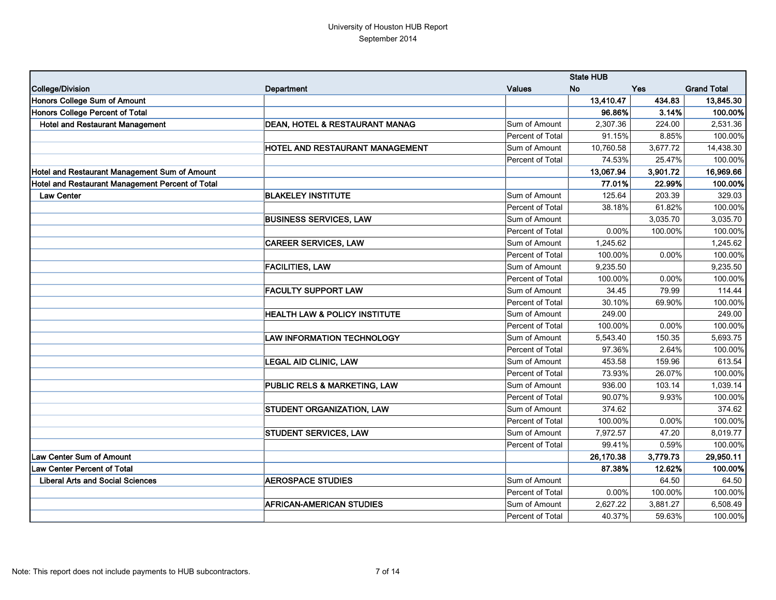|                                                  |                                           |                  | <b>State HUB</b> |            |                    |
|--------------------------------------------------|-------------------------------------------|------------------|------------------|------------|--------------------|
| College/Division                                 | Department                                | <b>Values</b>    | <b>No</b>        | <b>Yes</b> | <b>Grand Total</b> |
| Honors College Sum of Amount                     |                                           |                  | 13,410.47        | 434.83     | 13,845.30          |
| Honors College Percent of Total                  |                                           |                  | 96.86%           | 3.14%      | 100.00%            |
| <b>Hotel and Restaurant Management</b>           | <b>DEAN, HOTEL &amp; RESTAURANT MANAG</b> | Sum of Amount    | 2,307.36         | 224.00     | 2,531.36           |
|                                                  |                                           | Percent of Total | 91.15%           | 8.85%      | 100.00%            |
|                                                  | HOTEL AND RESTAURANT MANAGEMENT           | Sum of Amount    | 10,760.58        | 3,677.72   | 14,438.30          |
|                                                  |                                           | Percent of Total | 74.53%           | 25.47%     | 100.00%            |
| Hotel and Restaurant Management Sum of Amount    |                                           |                  | 13,067.94        | 3,901.72   | 16,969.66          |
| Hotel and Restaurant Management Percent of Total |                                           |                  | 77.01%           | 22.99%     | 100.00%            |
| <b>Law Center</b>                                | <b>BLAKELEY INSTITUTE</b>                 | Sum of Amount    | 125.64           | 203.39     | 329.03             |
|                                                  |                                           | Percent of Total | 38.18%           | 61.82%     | 100.00%            |
|                                                  | <b>BUSINESS SERVICES, LAW</b>             | Sum of Amount    |                  | 3,035.70   | 3,035.70           |
|                                                  |                                           | Percent of Total | 0.00%            | 100.00%    | 100.00%            |
|                                                  | <b>CAREER SERVICES, LAW</b>               | Sum of Amount    | 1,245.62         |            | 1,245.62           |
|                                                  |                                           | Percent of Total | 100.00%          | 0.00%      | 100.00%            |
|                                                  | <b>FACILITIES, LAW</b>                    | Sum of Amount    | 9,235.50         |            | 9,235.50           |
|                                                  |                                           | Percent of Total | 100.00%          | 0.00%      | 100.00%            |
|                                                  | <b>FACULTY SUPPORT LAW</b>                | Sum of Amount    | 34.45            | 79.99      | 114.44             |
|                                                  |                                           | Percent of Total | 30.10%           | 69.90%     | 100.00%            |
|                                                  | <b>HEALTH LAW &amp; POLICY INSTITUTE</b>  | Sum of Amount    | 249.00           |            | 249.00             |
|                                                  |                                           | Percent of Total | 100.00%          | 0.00%      | 100.00%            |
|                                                  | <b>LAW INFORMATION TECHNOLOGY</b>         | Sum of Amount    | 5,543.40         | 150.35     | 5,693.75           |
|                                                  |                                           | Percent of Total | 97.36%           | 2.64%      | 100.00%            |
|                                                  | <b>LEGAL AID CLINIC, LAW</b>              | Sum of Amount    | 453.58           | 159.96     | 613.54             |
|                                                  |                                           | Percent of Total | 73.93%           | 26.07%     | 100.00%            |
|                                                  | PUBLIC RELS & MARKETING, LAW              | Sum of Amount    | 936.00           | 103.14     | 1,039.14           |
|                                                  |                                           | Percent of Total | 90.07%           | 9.93%      | 100.00%            |
|                                                  | STUDENT ORGANIZATION, LAW                 | Sum of Amount    | 374.62           |            | 374.62             |
|                                                  |                                           | Percent of Total | 100.00%          | 0.00%      | 100.00%            |
|                                                  | <b>STUDENT SERVICES, LAW</b>              | Sum of Amount    | 7,972.57         | 47.20      | 8,019.77           |
|                                                  |                                           | Percent of Total | 99.41%           | 0.59%      | 100.00%            |
| Law Center Sum of Amount                         |                                           |                  | 26,170.38        | 3,779.73   | 29,950.11          |
| Law Center Percent of Total                      |                                           |                  | 87.38%           | 12.62%     | 100.00%            |
| <b>Liberal Arts and Social Sciences</b>          | <b>AEROSPACE STUDIES</b>                  | Sum of Amount    |                  | 64.50      | 64.50              |
|                                                  |                                           | Percent of Total | 0.00%            | 100.00%    | 100.00%            |
|                                                  | <b>AFRICAN-AMERICAN STUDIES</b>           | Sum of Amount    | 2,627.22         | 3,881.27   | 6,508.49           |
|                                                  |                                           | Percent of Total | 40.37%           | 59.63%     | 100.00%            |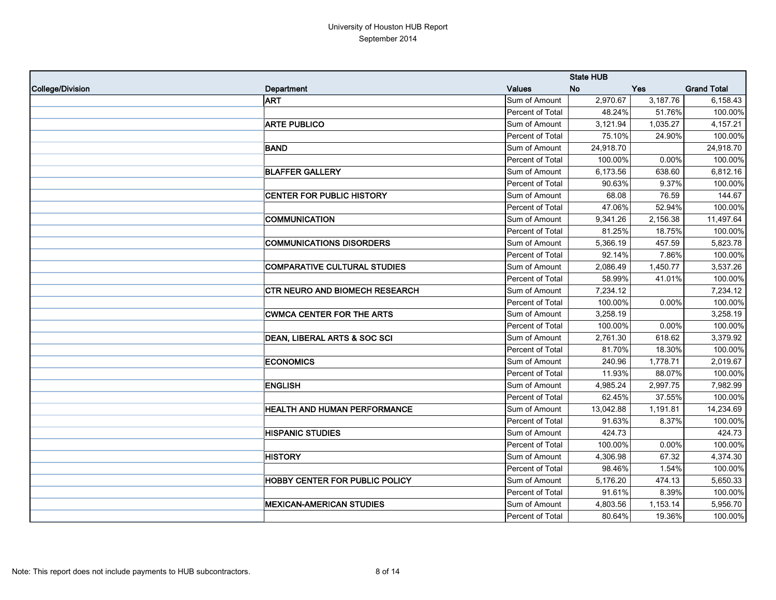|                  |                                       |                  | <b>State HUB</b> |            |                    |
|------------------|---------------------------------------|------------------|------------------|------------|--------------------|
| College/Division | Department                            | <b>Values</b>    | <b>No</b>        | <b>Yes</b> | <b>Grand Total</b> |
|                  | <b>ART</b>                            | Sum of Amount    | 2,970.67         | 3,187.76   | 6,158.43           |
|                  |                                       | Percent of Total | 48.24%           | 51.76%     | 100.00%            |
|                  | <b>ARTE PUBLICO</b>                   | Sum of Amount    | 3,121.94         | 1,035.27   | 4,157.21           |
|                  |                                       | Percent of Total | 75.10%           | 24.90%     | 100.00%            |
|                  | <b>BAND</b>                           | Sum of Amount    | 24,918.70        |            | 24,918.70          |
|                  |                                       | Percent of Total | 100.00%          | 0.00%      | 100.00%            |
|                  | <b>BLAFFER GALLERY</b>                | Sum of Amount    | 6,173.56         | 638.60     | 6,812.16           |
|                  |                                       | Percent of Total | 90.63%           | 9.37%      | 100.00%            |
|                  | <b>CENTER FOR PUBLIC HISTORY</b>      | Sum of Amount    | 68.08            | 76.59      | 144.67             |
|                  |                                       | Percent of Total | 47.06%           | 52.94%     | 100.00%            |
|                  | <b>COMMUNICATION</b>                  | Sum of Amount    | 9,341.26         | 2,156.38   | 11,497.64          |
|                  |                                       | Percent of Total | 81.25%           | 18.75%     | 100.00%            |
|                  | <b>COMMUNICATIONS DISORDERS</b>       | Sum of Amount    | 5,366.19         | 457.59     | 5,823.78           |
|                  |                                       | Percent of Total | 92.14%           | 7.86%      | 100.00%            |
|                  | <b>COMPARATIVE CULTURAL STUDIES</b>   | Sum of Amount    | 2,086.49         | 1,450.77   | 3,537.26           |
|                  |                                       | Percent of Total | 58.99%           | 41.01%     | 100.00%            |
|                  | <b>CTR NEURO AND BIOMECH RESEARCH</b> | Sum of Amount    | 7,234.12         |            | 7,234.12           |
|                  |                                       | Percent of Total | 100.00%          | 0.00%      | 100.00%            |
|                  | <b>CWMCA CENTER FOR THE ARTS</b>      | Sum of Amount    | 3,258.19         |            | 3,258.19           |
|                  |                                       | Percent of Total | 100.00%          | 0.00%      | 100.00%            |
|                  | DEAN, LIBERAL ARTS & SOC SCI          | Sum of Amount    | 2,761.30         | 618.62     | 3,379.92           |
|                  |                                       | Percent of Total | 81.70%           | 18.30%     | 100.00%            |
|                  | <b>ECONOMICS</b>                      | Sum of Amount    | 240.96           | 1,778.71   | 2,019.67           |
|                  |                                       | Percent of Total | 11.93%           | 88.07%     | 100.00%            |
|                  | <b>ENGLISH</b>                        | Sum of Amount    | 4,985.24         | 2,997.75   | 7,982.99           |
|                  |                                       | Percent of Total | 62.45%           | 37.55%     | 100.00%            |
|                  | <b>HEALTH AND HUMAN PERFORMANCE</b>   | Sum of Amount    | 13,042.88        | 1,191.81   | 14,234.69          |
|                  |                                       | Percent of Total | 91.63%           | 8.37%      | 100.00%            |
|                  | <b>HISPANIC STUDIES</b>               | Sum of Amount    | 424.73           |            | 424.73             |
|                  |                                       | Percent of Total | 100.00%          | 0.00%      | 100.00%            |
|                  | <b>HISTORY</b>                        | Sum of Amount    | 4,306.98         | 67.32      | 4,374.30           |
|                  |                                       | Percent of Total | 98.46%           | 1.54%      | 100.00%            |
|                  | <b>HOBBY CENTER FOR PUBLIC POLICY</b> | Sum of Amount    | 5,176.20         | 474.13     | 5,650.33           |
|                  |                                       | Percent of Total | 91.61%           | 8.39%      | 100.00%            |
|                  | <b>MEXICAN-AMERICAN STUDIES</b>       | Sum of Amount    | 4,803.56         | 1,153.14   | 5,956.70           |
|                  |                                       | Percent of Total | 80.64%           | 19.36%     | 100.00%            |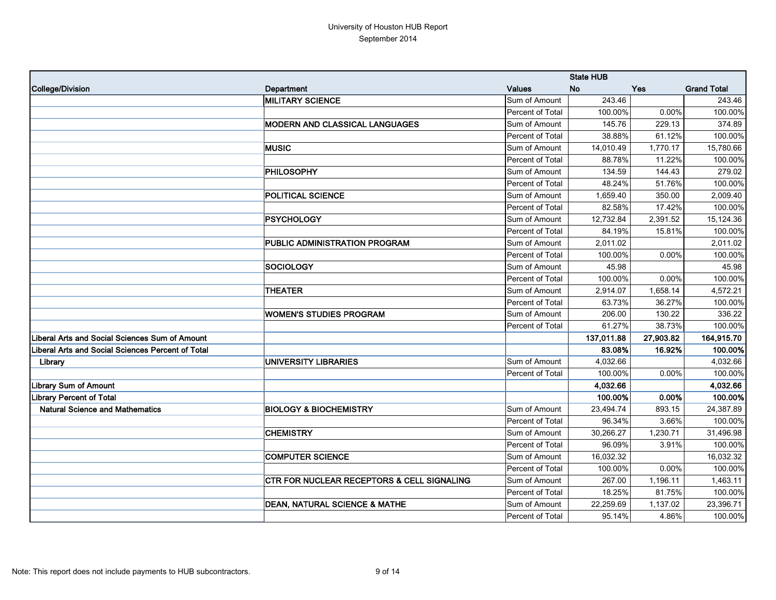|                                                   |                                            |                  | <b>State HUB</b> |            |                    |
|---------------------------------------------------|--------------------------------------------|------------------|------------------|------------|--------------------|
| <b>College/Division</b>                           | Department                                 | <b>Values</b>    | <b>No</b>        | <b>Yes</b> | <b>Grand Total</b> |
|                                                   | <b>MILITARY SCIENCE</b>                    | Sum of Amount    | 243.46           |            | 243.46             |
|                                                   |                                            | Percent of Total | 100.00%          | 0.00%      | 100.00%            |
|                                                   | MODERN AND CLASSICAL LANGUAGES             | Sum of Amount    | 145.76           | 229.13     | 374.89             |
|                                                   |                                            | Percent of Total | 38.88%           | 61.12%     | 100.00%            |
|                                                   | <b>MUSIC</b>                               | Sum of Amount    | 14,010.49        | 1,770.17   | 15,780.66          |
|                                                   |                                            | Percent of Total | 88.78%           | 11.22%     | 100.00%            |
|                                                   | <b>PHILOSOPHY</b>                          | Sum of Amount    | 134.59           | 144.43     | 279.02             |
|                                                   |                                            | Percent of Total | 48.24%           | 51.76%     | 100.00%            |
|                                                   | <b>POLITICAL SCIENCE</b>                   | Sum of Amount    | 1,659.40         | 350.00     | 2,009.40           |
|                                                   |                                            | Percent of Total | 82.58%           | 17.42%     | 100.00%            |
|                                                   | <b>PSYCHOLOGY</b>                          | Sum of Amount    | 12,732.84        | 2,391.52   | 15,124.36          |
|                                                   |                                            | Percent of Total | 84.19%           | 15.81%     | 100.00%            |
|                                                   | PUBLIC ADMINISTRATION PROGRAM              | Sum of Amount    | 2,011.02         |            | 2,011.02           |
|                                                   |                                            | Percent of Total | 100.00%          | 0.00%      | 100.00%            |
|                                                   | <b>SOCIOLOGY</b>                           | Sum of Amount    | 45.98            |            | 45.98              |
|                                                   |                                            | Percent of Total | 100.00%          | 0.00%      | 100.00%            |
|                                                   | <b>THEATER</b>                             | Sum of Amount    | 2,914.07         | 1,658.14   | 4,572.21           |
|                                                   |                                            | Percent of Total | 63.73%           | 36.27%     | 100.00%            |
|                                                   | <b>WOMEN'S STUDIES PROGRAM</b>             | Sum of Amount    | 206.00           | 130.22     | 336.22             |
|                                                   |                                            | Percent of Total | 61.27%           | 38.73%     | 100.00%            |
| Liberal Arts and Social Sciences Sum of Amount    |                                            |                  | 137,011.88       | 27,903.82  | 164,915.70         |
| Liberal Arts and Social Sciences Percent of Total |                                            |                  | 83.08%           | 16.92%     | 100.00%            |
| Library                                           | <b>UNIVERSITY LIBRARIES</b>                | Sum of Amount    | 4,032.66         |            | 4,032.66           |
|                                                   |                                            | Percent of Total | 100.00%          | 0.00%      | 100.00%            |
| <b>Library Sum of Amount</b>                      |                                            |                  | 4,032.66         |            | 4,032.66           |
| <b>Library Percent of Total</b>                   |                                            |                  | 100.00%          | 0.00%      | 100.00%            |
| <b>Natural Science and Mathematics</b>            | <b>BIOLOGY &amp; BIOCHEMISTRY</b>          | Sum of Amount    | 23,494.74        | 893.15     | 24,387.89          |
|                                                   |                                            | Percent of Total | 96.34%           | 3.66%      | 100.00%            |
|                                                   | <b>CHEMISTRY</b>                           | Sum of Amount    | 30,266.27        | 1,230.71   | 31,496.98          |
|                                                   |                                            | Percent of Total | 96.09%           | 3.91%      | 100.00%            |
|                                                   | <b>COMPUTER SCIENCE</b>                    | Sum of Amount    | 16,032.32        |            | 16,032.32          |
|                                                   |                                            | Percent of Total | 100.00%          | 0.00%      | 100.00%            |
|                                                   | CTR FOR NUCLEAR RECEPTORS & CELL SIGNALING | Sum of Amount    | 267.00           | 1,196.11   | 1,463.11           |
|                                                   |                                            | Percent of Total | 18.25%           | 81.75%     | 100.00%            |
|                                                   | <b>DEAN, NATURAL SCIENCE &amp; MATHE</b>   | Sum of Amount    | 22,259.69        | 1,137.02   | 23,396.71          |
|                                                   |                                            | Percent of Total | 95.14%           | 4.86%      | 100.00%            |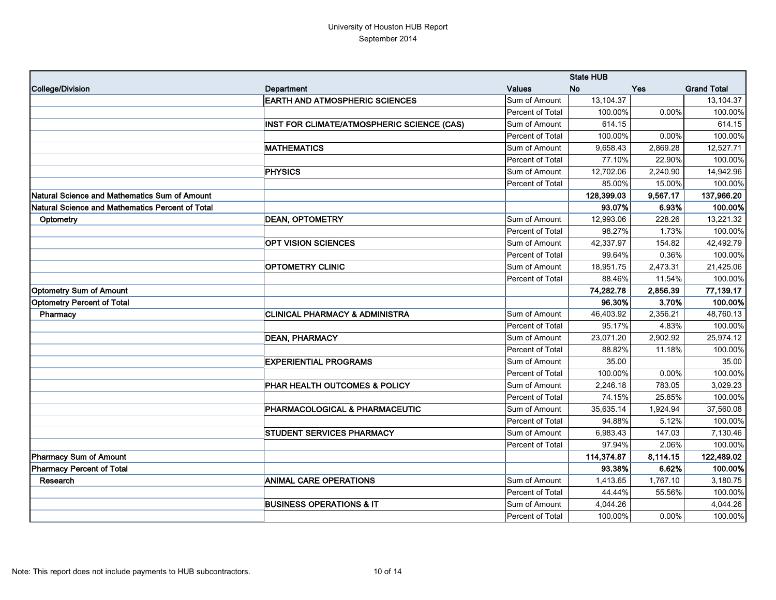|                                                  |                                            |                  | <b>State HUB</b> |            |                    |
|--------------------------------------------------|--------------------------------------------|------------------|------------------|------------|--------------------|
| College/Division                                 | Department                                 | <b>Values</b>    | <b>No</b>        | <b>Yes</b> | <b>Grand Total</b> |
|                                                  | <b>EARTH AND ATMOSPHERIC SCIENCES</b>      | Sum of Amount    | 13,104.37        |            | 13,104.37          |
|                                                  |                                            | Percent of Total | 100.00%          | 0.00%      | 100.00%            |
|                                                  | INST FOR CLIMATE/ATMOSPHERIC SCIENCE (CAS) | Sum of Amount    | 614.15           |            | 614.15             |
|                                                  |                                            | Percent of Total | 100.00%          | 0.00%      | 100.00%            |
|                                                  | <b>MATHEMATICS</b>                         | Sum of Amount    | 9,658.43         | 2,869.28   | 12,527.71          |
|                                                  |                                            | Percent of Total | 77.10%           | 22.90%     | 100.00%            |
|                                                  | <b>PHYSICS</b>                             | Sum of Amount    | 12,702.06        | 2,240.90   | 14,942.96          |
|                                                  |                                            | Percent of Total | 85.00%           | 15.00%     | 100.00%            |
| Natural Science and Mathematics Sum of Amount    |                                            |                  | 128,399.03       | 9,567.17   | 137,966.20         |
| Natural Science and Mathematics Percent of Total |                                            |                  | 93.07%           | 6.93%      | 100.00%            |
| Optometry                                        | <b>DEAN, OPTOMETRY</b>                     | Sum of Amount    | 12,993.06        | 228.26     | 13,221.32          |
|                                                  |                                            | Percent of Total | 98.27%           | 1.73%      | 100.00%            |
|                                                  | <b>OPT VISION SCIENCES</b>                 | Sum of Amount    | 42,337.97        | 154.82     | 42,492.79          |
|                                                  |                                            | Percent of Total | 99.64%           | 0.36%      | 100.00%            |
|                                                  | <b>OPTOMETRY CLINIC</b>                    | Sum of Amount    | 18,951.75        | 2,473.31   | 21,425.06          |
|                                                  |                                            | Percent of Total | 88.46%           | 11.54%     | 100.00%            |
| <b>Optometry Sum of Amount</b>                   |                                            |                  | 74,282.78        | 2,856.39   | 77,139.17          |
| <b>Optometry Percent of Total</b>                |                                            |                  | 96.30%           | 3.70%      | 100.00%            |
| Pharmacy                                         | <b>CLINICAL PHARMACY &amp; ADMINISTRA</b>  | Sum of Amount    | 46,403.92        | 2,356.21   | 48,760.13          |
|                                                  |                                            | Percent of Total | 95.17%           | 4.83%      | 100.00%            |
|                                                  | <b>DEAN, PHARMACY</b>                      | Sum of Amount    | 23,071.20        | 2,902.92   | 25,974.12          |
|                                                  |                                            | Percent of Total | 88.82%           | 11.18%     | 100.00%            |
|                                                  | <b>EXPERIENTIAL PROGRAMS</b>               | Sum of Amount    | 35.00            |            | 35.00              |
|                                                  |                                            | Percent of Total | 100.00%          | 0.00%      | 100.00%            |
|                                                  | PHAR HEALTH OUTCOMES & POLICY              | Sum of Amount    | 2,246.18         | 783.05     | 3,029.23           |
|                                                  |                                            | Percent of Total | 74.15%           | 25.85%     | 100.00%            |
|                                                  | PHARMACOLOGICAL & PHARMACEUTIC             | Sum of Amount    | 35,635.14        | 1,924.94   | 37,560.08          |
|                                                  |                                            | Percent of Total | 94.88%           | 5.12%      | 100.00%            |
|                                                  | <b>STUDENT SERVICES PHARMACY</b>           | Sum of Amount    | 6,983.43         | 147.03     | 7,130.46           |
|                                                  |                                            | Percent of Total | 97.94%           | 2.06%      | 100.00%            |
| <b>Pharmacy Sum of Amount</b>                    |                                            |                  | 114,374.87       | 8,114.15   | 122,489.02         |
| <b>Pharmacy Percent of Total</b>                 |                                            |                  | 93.38%           | 6.62%      | 100.00%            |
| Research                                         | <b>ANIMAL CARE OPERATIONS</b>              | Sum of Amount    | 1,413.65         | 1,767.10   | 3,180.75           |
|                                                  |                                            | Percent of Total | 44.44%           | 55.56%     | 100.00%            |
|                                                  | <b>BUSINESS OPERATIONS &amp; IT</b>        | Sum of Amount    | 4,044.26         |            | 4,044.26           |
|                                                  |                                            | Percent of Total | 100.00%          | $0.00\%$   | 100.00%            |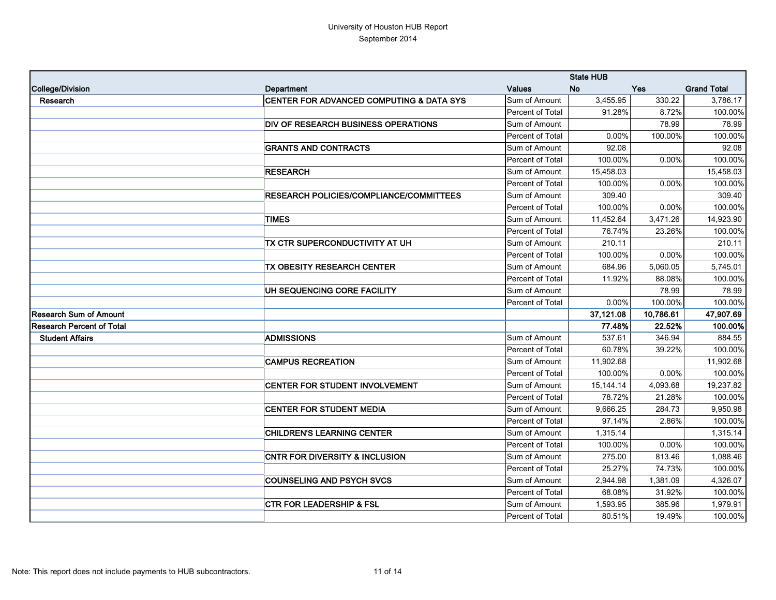|                                  |                                            |                  | <b>State HUB</b> |            |                    |
|----------------------------------|--------------------------------------------|------------------|------------------|------------|--------------------|
| College/Division                 | Department                                 | <b>Values</b>    | <b>No</b>        | <b>Yes</b> | <b>Grand Total</b> |
| Research                         | CENTER FOR ADVANCED COMPUTING & DATA SYS   | Sum of Amount    | 3,455.95         | 330.22     | 3,786.17           |
|                                  |                                            | Percent of Total | 91.28%           | 8.72%      | 100.00%            |
|                                  | <b>DIV OF RESEARCH BUSINESS OPERATIONS</b> | Sum of Amount    |                  | 78.99      | 78.99              |
|                                  |                                            | Percent of Total | 0.00%            | 100.00%    | 100.00%            |
|                                  | <b>GRANTS AND CONTRACTS</b>                | Sum of Amount    | 92.08            |            | 92.08              |
|                                  |                                            | Percent of Total | 100.00%          | 0.00%      | 100.00%            |
|                                  | <b>RESEARCH</b>                            | Sum of Amount    | 15,458.03        |            | 15,458.03          |
|                                  |                                            | Percent of Total | 100.00%          | 0.00%      | 100.00%            |
|                                  | RESEARCH POLICIES/COMPLIANCE/COMMITTEES    | Sum of Amount    | 309.40           |            | 309.40             |
|                                  |                                            | Percent of Total | 100.00%          | 0.00%      | 100.00%            |
|                                  | <b>TIMES</b>                               | Sum of Amount    | 11,452.64        | 3,471.26   | 14,923.90          |
|                                  |                                            | Percent of Total | 76.74%           | 23.26%     | 100.00%            |
|                                  | TX CTR SUPERCONDUCTIVITY AT UH             | Sum of Amount    | 210.11           |            | 210.11             |
|                                  |                                            | Percent of Total | 100.00%          | 0.00%      | 100.00%            |
|                                  | TX OBESITY RESEARCH CENTER                 | Sum of Amount    | 684.96           | 5,060.05   | 5,745.01           |
|                                  |                                            | Percent of Total | 11.92%           | 88.08%     | 100.00%            |
|                                  | UH SEQUENCING CORE FACILITY                | Sum of Amount    |                  | 78.99      | 78.99              |
|                                  |                                            | Percent of Total | 0.00%            | 100.00%    | 100.00%            |
| <b>Research Sum of Amount</b>    |                                            |                  | 37,121.08        | 10,786.61  | 47,907.69          |
| <b>Research Percent of Total</b> |                                            |                  | 77.48%           | 22.52%     | 100.00%            |
| <b>Student Affairs</b>           | <b>ADMISSIONS</b>                          | Sum of Amount    | 537.61           | 346.94     | 884.55             |
|                                  |                                            | Percent of Total | 60.78%           | 39.22%     | 100.00%            |
|                                  | <b>CAMPUS RECREATION</b>                   | Sum of Amount    | 11,902.68        |            | 11,902.68          |
|                                  |                                            | Percent of Total | 100.00%          | 0.00%      | 100.00%            |
|                                  | CENTER FOR STUDENT INVOLVEMENT             | Sum of Amount    | 15, 144. 14      | 4,093.68   | 19,237.82          |
|                                  |                                            | Percent of Total | 78.72%           | 21.28%     | 100.00%            |
|                                  | <b>CENTER FOR STUDENT MEDIA</b>            | Sum of Amount    | 9,666.25         | 284.73     | 9,950.98           |
|                                  |                                            | Percent of Total | 97.14%           | 2.86%      | 100.00%            |
|                                  | <b>CHILDREN'S LEARNING CENTER</b>          | Sum of Amount    | 1,315.14         |            | 1,315.14           |
|                                  |                                            | Percent of Total | 100.00%          | 0.00%      | 100.00%            |
|                                  | <b>CNTR FOR DIVERSITY &amp; INCLUSION</b>  | Sum of Amount    | 275.00           | 813.46     | 1,088.46           |
|                                  |                                            | Percent of Total | 25.27%           | 74.73%     | 100.00%            |
|                                  | <b>COUNSELING AND PSYCH SVCS</b>           | Sum of Amount    | 2,944.98         | 1,381.09   | 4,326.07           |
|                                  |                                            | Percent of Total | 68.08%           | 31.92%     | 100.00%            |
|                                  | <b>CTR FOR LEADERSHIP &amp; FSL</b>        | Sum of Amount    | 1,593.95         | 385.96     | 1,979.91           |
|                                  |                                            | Percent of Total | 80.51%           | 19.49%     | 100.00%            |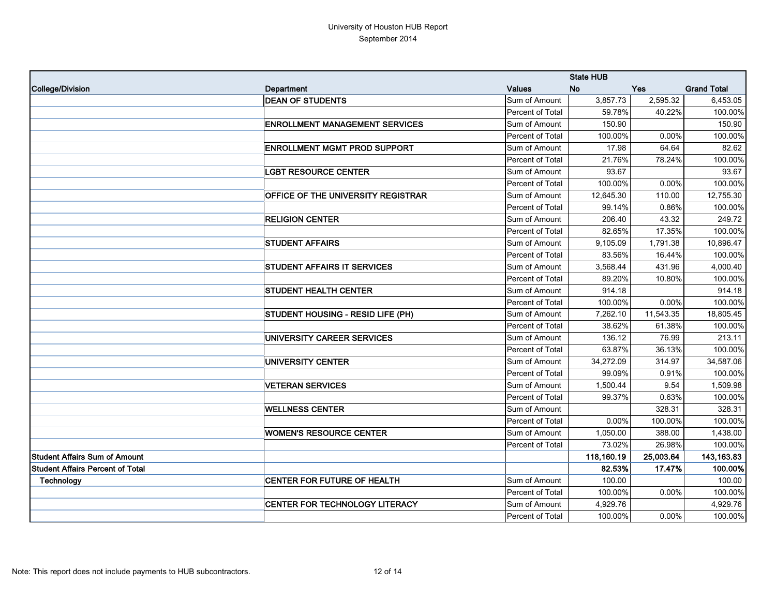|                                         |                                       |                  | <b>State HUB</b> |            |                    |
|-----------------------------------------|---------------------------------------|------------------|------------------|------------|--------------------|
| College/Division                        | Department                            | <b>Values</b>    | <b>No</b>        | <b>Yes</b> | <b>Grand Total</b> |
|                                         | <b>DEAN OF STUDENTS</b>               | Sum of Amount    | 3,857.73         | 2,595.32   | 6,453.05           |
|                                         |                                       | Percent of Total | 59.78%           | 40.22%     | 100.00%            |
|                                         | <b>ENROLLMENT MANAGEMENT SERVICES</b> | Sum of Amount    | 150.90           |            | 150.90             |
|                                         |                                       | Percent of Total | 100.00%          | 0.00%      | 100.00%            |
|                                         | <b>ENROLLMENT MGMT PROD SUPPORT</b>   | Sum of Amount    | 17.98            | 64.64      | 82.62              |
|                                         |                                       | Percent of Total | 21.76%           | 78.24%     | 100.00%            |
|                                         | <b>LGBT RESOURCE CENTER</b>           | Sum of Amount    | 93.67            |            | 93.67              |
|                                         |                                       | Percent of Total | 100.00%          | 0.00%      | 100.00%            |
|                                         | OFFICE OF THE UNIVERSITY REGISTRAR    | Sum of Amount    | 12,645.30        | 110.00     | 12,755.30          |
|                                         |                                       | Percent of Total | 99.14%           | 0.86%      | 100.00%            |
|                                         | <b>RELIGION CENTER</b>                | Sum of Amount    | 206.40           | 43.32      | 249.72             |
|                                         |                                       | Percent of Total | 82.65%           | 17.35%     | 100.00%            |
|                                         | <b>STUDENT AFFAIRS</b>                | Sum of Amount    | 9,105.09         | 1,791.38   | 10,896.47          |
|                                         |                                       | Percent of Total | 83.56%           | 16.44%     | 100.00%            |
|                                         | <b>STUDENT AFFAIRS IT SERVICES</b>    | Sum of Amount    | 3,568.44         | 431.96     | 4,000.40           |
|                                         |                                       | Percent of Total | 89.20%           | 10.80%     | 100.00%            |
|                                         | <b>STUDENT HEALTH CENTER</b>          | Sum of Amount    | 914.18           |            | 914.18             |
|                                         |                                       | Percent of Total | 100.00%          | 0.00%      | 100.00%            |
|                                         | STUDENT HOUSING - RESID LIFE (PH)     | Sum of Amount    | 7,262.10         | 11,543.35  | 18,805.45          |
|                                         |                                       | Percent of Total | 38.62%           | 61.38%     | 100.00%            |
|                                         | UNIVERSITY CAREER SERVICES            | Sum of Amount    | 136.12           | 76.99      | 213.11             |
|                                         |                                       | Percent of Total | 63.87%           | 36.13%     | 100.00%            |
|                                         | <b>UNIVERSITY CENTER</b>              | Sum of Amount    | 34,272.09        | 314.97     | 34,587.06          |
|                                         |                                       | Percent of Total | 99.09%           | 0.91%      | 100.00%            |
|                                         | <b>VETERAN SERVICES</b>               | Sum of Amount    | 1,500.44         | 9.54       | 1,509.98           |
|                                         |                                       | Percent of Total | 99.37%           | 0.63%      | 100.00%            |
|                                         | <b>WELLNESS CENTER</b>                | Sum of Amount    |                  | 328.31     | 328.31             |
|                                         |                                       | Percent of Total | 0.00%            | 100.00%    | 100.00%            |
|                                         | <b>WOMEN'S RESOURCE CENTER</b>        | Sum of Amount    | 1,050.00         | 388.00     | 1,438.00           |
|                                         |                                       | Percent of Total | 73.02%           | 26.98%     | 100.00%            |
| <b>Student Affairs Sum of Amount</b>    |                                       |                  | 118,160.19       | 25,003.64  | 143,163.83         |
| <b>Student Affairs Percent of Total</b> |                                       |                  | 82.53%           | 17.47%     | 100.00%            |
| Technology                              | <b>CENTER FOR FUTURE OF HEALTH</b>    | Sum of Amount    | 100.00           |            | 100.00             |
|                                         |                                       | Percent of Total | 100.00%          | 0.00%      | 100.00%            |
|                                         | CENTER FOR TECHNOLOGY LITERACY        | Sum of Amount    | 4,929.76         |            | 4,929.76           |
|                                         |                                       | Percent of Total | 100.00%          | $0.00\%$   | 100.00%            |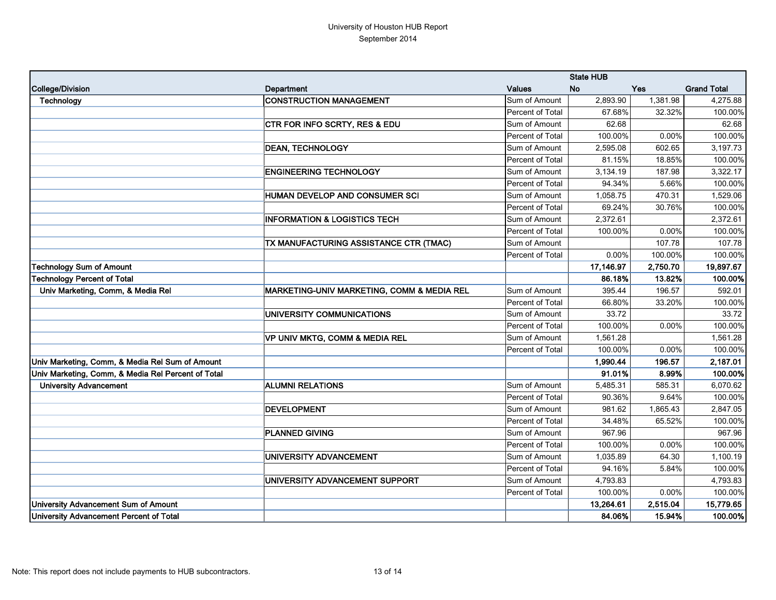|                                                    |                                            | <b>State HUB</b> |           |          |                    |
|----------------------------------------------------|--------------------------------------------|------------------|-----------|----------|--------------------|
| College/Division                                   | Department                                 | <b>Values</b>    | <b>No</b> | Yes      | <b>Grand Total</b> |
| Technology                                         | <b>CONSTRUCTION MANAGEMENT</b>             | Sum of Amount    | 2,893.90  | 1,381.98 | 4,275.88           |
|                                                    |                                            | Percent of Total | 67.68%    | 32.32%   | 100.00%            |
|                                                    | CTR FOR INFO SCRTY, RES & EDU              | Sum of Amount    | 62.68     |          | 62.68              |
|                                                    |                                            | Percent of Total | 100.00%   | 0.00%    | 100.00%            |
|                                                    | <b>DEAN, TECHNOLOGY</b>                    | Sum of Amount    | 2,595.08  | 602.65   | 3,197.73           |
|                                                    |                                            | Percent of Total | 81.15%    | 18.85%   | 100.00%            |
|                                                    | <b>ENGINEERING TECHNOLOGY</b>              | Sum of Amount    | 3,134.19  | 187.98   | 3,322.17           |
|                                                    |                                            | Percent of Total | 94.34%    | 5.66%    | 100.00%            |
|                                                    | HUMAN DEVELOP AND CONSUMER SCI             | Sum of Amount    | 1,058.75  | 470.31   | 1,529.06           |
|                                                    |                                            | Percent of Total | 69.24%    | 30.76%   | 100.00%            |
|                                                    | <b>INFORMATION &amp; LOGISTICS TECH</b>    | Sum of Amount    | 2,372.61  |          | 2,372.61           |
|                                                    |                                            | Percent of Total | 100.00%   | 0.00%    | 100.00%            |
|                                                    | TX MANUFACTURING ASSISTANCE CTR (TMAC)     | Sum of Amount    |           | 107.78   | 107.78             |
|                                                    |                                            | Percent of Total | 0.00%     | 100.00%  | 100.00%            |
| <b>Technology Sum of Amount</b>                    |                                            |                  | 17,146.97 | 2,750.70 | 19,897.67          |
| <b>Technology Percent of Total</b>                 |                                            |                  | 86.18%    | 13.82%   | 100.00%            |
| Univ Marketing, Comm, & Media Rel                  | MARKETING-UNIV MARKETING, COMM & MEDIA REL | Sum of Amount    | 395.44    | 196.57   | 592.01             |
|                                                    |                                            | Percent of Total | 66.80%    | 33.20%   | 100.00%            |
|                                                    | UNIVERSITY COMMUNICATIONS                  | Sum of Amount    | 33.72     |          | 33.72              |
|                                                    |                                            | Percent of Total | 100.00%   | 0.00%    | 100.00%            |
|                                                    | VP UNIV MKTG, COMM & MEDIA REL             | Sum of Amount    | 1,561.28  |          | 1,561.28           |
|                                                    |                                            | Percent of Total | 100.00%   | 0.00%    | 100.00%            |
| Univ Marketing, Comm, & Media Rel Sum of Amount    |                                            |                  | 1,990.44  | 196.57   | 2,187.01           |
| Univ Marketing, Comm, & Media Rel Percent of Total |                                            |                  | 91.01%    | 8.99%    | 100.00%            |
| <b>University Advancement</b>                      | <b>ALUMNI RELATIONS</b>                    | Sum of Amount    | 5,485.31  | 585.31   | 6,070.62           |
|                                                    |                                            | Percent of Total | 90.36%    | 9.64%    | 100.00%            |
|                                                    | <b>DEVELOPMENT</b>                         | Sum of Amount    | 981.62    | 1,865.43 | 2,847.05           |
|                                                    |                                            | Percent of Total | 34.48%    | 65.52%   | 100.00%            |
|                                                    | <b>PLANNED GIVING</b>                      | Sum of Amount    | 967.96    |          | 967.96             |
|                                                    |                                            | Percent of Total | 100.00%   | 0.00%    | 100.00%            |
|                                                    | UNIVERSITY ADVANCEMENT                     | Sum of Amount    | 1,035.89  | 64.30    | 1,100.19           |
|                                                    |                                            | Percent of Total | 94.16%    | 5.84%    | 100.00%            |
|                                                    | UNIVERSITY ADVANCEMENT SUPPORT             | Sum of Amount    | 4,793.83  |          | 4,793.83           |
|                                                    |                                            | Percent of Total | 100.00%   | 0.00%    | 100.00%            |
| <b>University Advancement Sum of Amount</b>        |                                            |                  | 13,264.61 | 2,515.04 | 15,779.65          |
| <b>University Advancement Percent of Total</b>     |                                            |                  | 84.06%    | 15.94%   | 100.00%            |